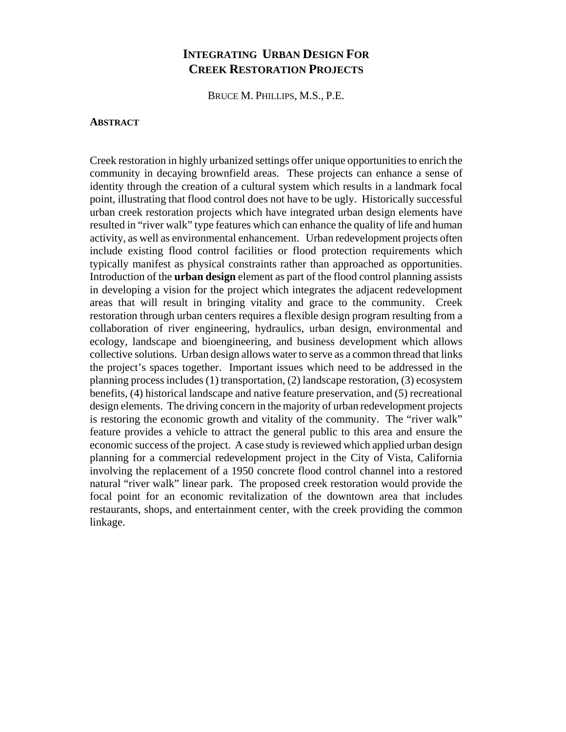# **INTEGRATING URBAN DESIGN FOR CREEK RESTORATION PROJECTS**

BRUCE M. PHILLIPS, M.S., P.E.

### **ABSTRACT**

Creek restoration in highly urbanized settings offer unique opportunities to enrich the community in decaying brownfield areas. These projects can enhance a sense of identity through the creation of a cultural system which results in a landmark focal point, illustrating that flood control does not have to be ugly. Historically successful urban creek restoration projects which have integrated urban design elements have resulted in "river walk" type features which can enhance the quality of life and human activity, as well as environmental enhancement. Urban redevelopment projects often include existing flood control facilities or flood protection requirements which typically manifest as physical constraints rather than approached as opportunities. Introduction of the **urban design** element as part of the flood control planning assists in developing a vision for the project which integrates the adjacent redevelopment areas that will result in bringing vitality and grace to the community. Creek restoration through urban centers requires a flexible design program resulting from a collaboration of river engineering, hydraulics, urban design, environmental and ecology, landscape and bioengineering, and business development which allows collective solutions. Urban design allows water to serve as a common thread that links the project's spaces together. Important issues which need to be addressed in the planning process includes (1) transportation, (2) landscape restoration, (3) ecosystem benefits, (4) historical landscape and native feature preservation, and (5) recreational design elements. The driving concern in the majority of urban redevelopment projects is restoring the economic growth and vitality of the community. The "river walk" feature provides a vehicle to attract the general public to this area and ensure the economic success of the project. A case study is reviewed which applied urban design planning for a commercial redevelopment project in the City of Vista, California involving the replacement of a 1950 concrete flood control channel into a restored natural "river walk" linear park. The proposed creek restoration would provide the focal point for an economic revitalization of the downtown area that includes restaurants, shops, and entertainment center, with the creek providing the common linkage.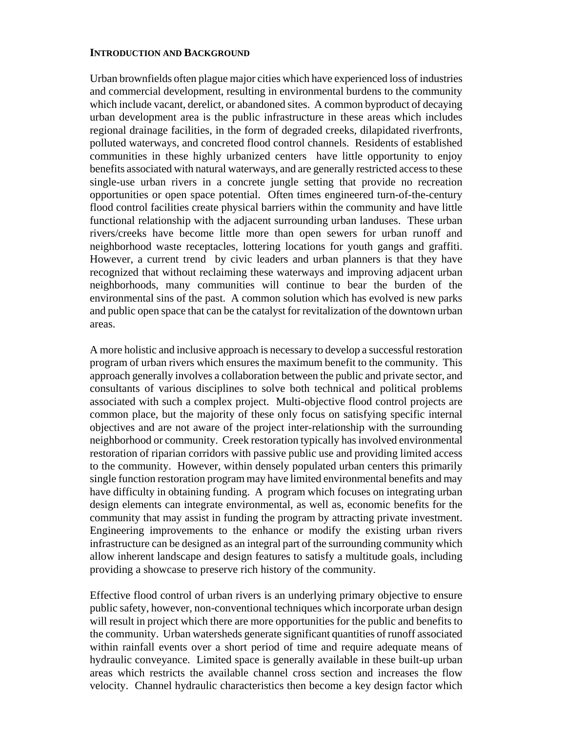#### **INTRODUCTION AND BACKGROUND**

Urban brownfields often plague major cities which have experienced loss of industries and commercial development, resulting in environmental burdens to the community which include vacant, derelict, or abandoned sites. A common byproduct of decaying urban development area is the public infrastructure in these areas which includes regional drainage facilities, in the form of degraded creeks, dilapidated riverfronts, polluted waterways, and concreted flood control channels. Residents of established communities in these highly urbanized centers have little opportunity to enjoy benefits associated with natural waterways, and are generally restricted access to these single-use urban rivers in a concrete jungle setting that provide no recreation opportunities or open space potential. Often times engineered turn-of-the-century flood control facilities create physical barriers within the community and have little functional relationship with the adjacent surrounding urban landuses. These urban rivers/creeks have become little more than open sewers for urban runoff and neighborhood waste receptacles, lottering locations for youth gangs and graffiti. However, a current trend by civic leaders and urban planners is that they have recognized that without reclaiming these waterways and improving adjacent urban neighborhoods, many communities will continue to bear the burden of the environmental sins of the past. A common solution which has evolved is new parks and public open space that can be the catalyst for revitalization of the downtown urban areas.

A more holistic and inclusive approach is necessary to develop a successful restoration program of urban rivers which ensures the maximum benefit to the community. This approach generally involves a collaboration between the public and private sector, and consultants of various disciplines to solve both technical and political problems associated with such a complex project. Multi-objective flood control projects are common place, but the majority of these only focus on satisfying specific internal objectives and are not aware of the project inter-relationship with the surrounding neighborhood or community. Creek restoration typically has involved environmental restoration of riparian corridors with passive public use and providing limited access to the community. However, within densely populated urban centers this primarily single function restoration program may have limited environmental benefits and may have difficulty in obtaining funding. A program which focuses on integrating urban design elements can integrate environmental, as well as, economic benefits for the community that may assist in funding the program by attracting private investment. Engineering improvements to the enhance or modify the existing urban rivers infrastructure can be designed as an integral part of the surrounding community which allow inherent landscape and design features to satisfy a multitude goals, including providing a showcase to preserve rich history of the community.

Effective flood control of urban rivers is an underlying primary objective to ensure public safety, however, non-conventional techniques which incorporate urban design will result in project which there are more opportunities for the public and benefits to the community. Urban watersheds generate significant quantities of runoff associated within rainfall events over a short period of time and require adequate means of hydraulic conveyance. Limited space is generally available in these built-up urban areas which restricts the available channel cross section and increases the flow velocity. Channel hydraulic characteristics then become a key design factor which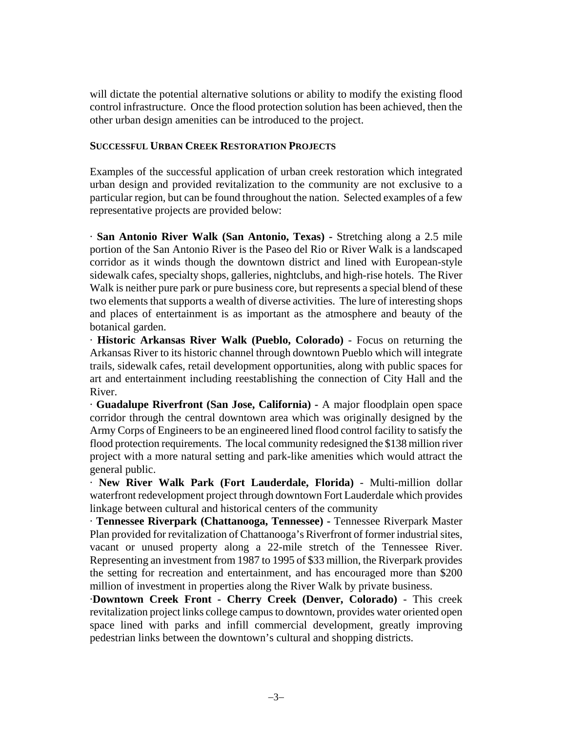will dictate the potential alternative solutions or ability to modify the existing flood control infrastructure. Once the flood protection solution has been achieved, then the other urban design amenities can be introduced to the project.

# **SUCCESSFUL URBAN CREEK RESTORATION PROJECTS**

Examples of the successful application of urban creek restoration which integrated urban design and provided revitalization to the community are not exclusive to a particular region, but can be found throughout the nation. Selected examples of a few representative projects are provided below:

· **San Antonio River Walk (San Antonio, Texas) -** Stretching along a 2.5 mile portion of the San Antonio River is the Paseo del Rio or River Walk is a landscaped corridor as it winds though the downtown district and lined with European-style sidewalk cafes, specialty shops, galleries, nightclubs, and high-rise hotels. The River Walk is neither pure park or pure business core, but represents a special blend of these two elements that supports a wealth of diverse activities. The lure of interesting shops and places of entertainment is as important as the atmosphere and beauty of the botanical garden.

· **Historic Arkansas River Walk (Pueblo, Colorado)** - Focus on returning the Arkansas River to its historic channel through downtown Pueblo which will integrate trails, sidewalk cafes, retail development opportunities, along with public spaces for art and entertainment including reestablishing the connection of City Hall and the River.

· **Guadalupe Riverfront (San Jose, California) -** A major floodplain open space corridor through the central downtown area which was originally designed by the Army Corps of Engineers to be an engineered lined flood control facility to satisfy the flood protection requirements. The local community redesigned the \$138 million river project with a more natural setting and park-like amenities which would attract the general public.

· **New River Walk Park (Fort Lauderdale, Florida)** - Multi-million dollar waterfront redevelopment project through downtown Fort Lauderdale which provides linkage between cultural and historical centers of the community

· **Tennessee Riverpark (Chattanooga, Tennessee) -** Tennessee Riverpark Master Plan provided for revitalization of Chattanooga's Riverfront of former industrial sites, vacant or unused property along a 22-mile stretch of the Tennessee River. Representing an investment from 1987 to 1995 of \$33 million, the Riverpark provides the setting for recreation and entertainment, and has encouraged more than \$200 million of investment in properties along the River Walk by private business.

·**Downtown Creek Front - Cherry Creek (Denver, Colorado)** - This creek revitalization project links college campus to downtown, provides water oriented open space lined with parks and infill commercial development, greatly improving pedestrian links between the downtown's cultural and shopping districts.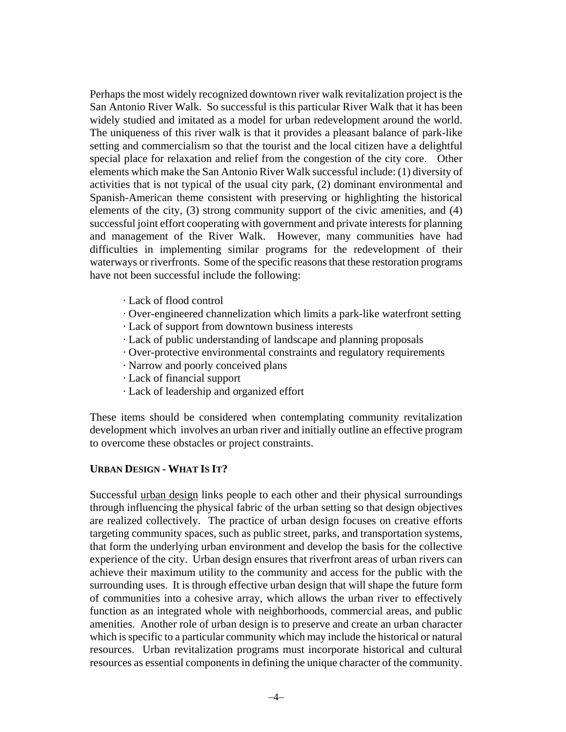Perhaps the most widely recognized downtown river walk revitalization project is the San Antonio River Walk. So successful is this particular River Walk that it has been widely studied and imitated as a model for urban redevelopment around the world. The uniqueness of this river walk is that it provides a pleasant balance of park-like setting and commercialism so that the tourist and the local citizen have a delightful special place for relaxation and relief from the congestion of the city core. Other elements which make the San Antonio River Walk successful include: (1) diversity of activities that is not typical of the usual city park, (2) dominant environmental and Spanish-American theme consistent with preserving or highlighting the historical elements of the city, (3) strong community support of the civic amenities, and (4) successful joint effort cooperating with government and private interests for planning and management of the River Walk. However, many communities have had difficulties in implementing similar programs for the redevelopment of their waterways or riverfronts. Some of the specific reasons that these restoration programs have not been successful include the following:

- · Lack of flood control
- · Over-engineered channelization which limits a park-like waterfront setting
- · Lack of support from downtown business interests
- · Lack of public understanding of landscape and planning proposals
- · Over-protective environmental constraints and regulatory requirements
- · Narrow and poorly conceived plans
- · Lack of financial support
- · Lack of leadership and organized effort

These items should be considered when contemplating community revitalization development which involves an urban river and initially outline an effective program to overcome these obstacles or project constraints.

### **URBAN DESIGN - WHAT IS IT?**

Successful urban design links people to each other and their physical surroundings through influencing the physical fabric of the urban setting so that design objectives are realized collectively. The practice of urban design focuses on creative efforts targeting community spaces, such as public street, parks, and transportation systems, that form the underlying urban environment and develop the basis for the collective experience of the city. Urban design ensures that riverfront areas of urban rivers can achieve their maximum utility to the community and access for the public with the surrounding uses. It is through effective urban design that will shape the future form of communities into a cohesive array, which allows the urban river to effectively function as an integrated whole with neighborhoods, commercial areas, and public amenities. Another role of urban design is to preserve and create an urban character which is specific to a particular community which may include the historical or natural resources. Urban revitalization programs must incorporate historical and cultural resources as essential components in defining the unique character of the community.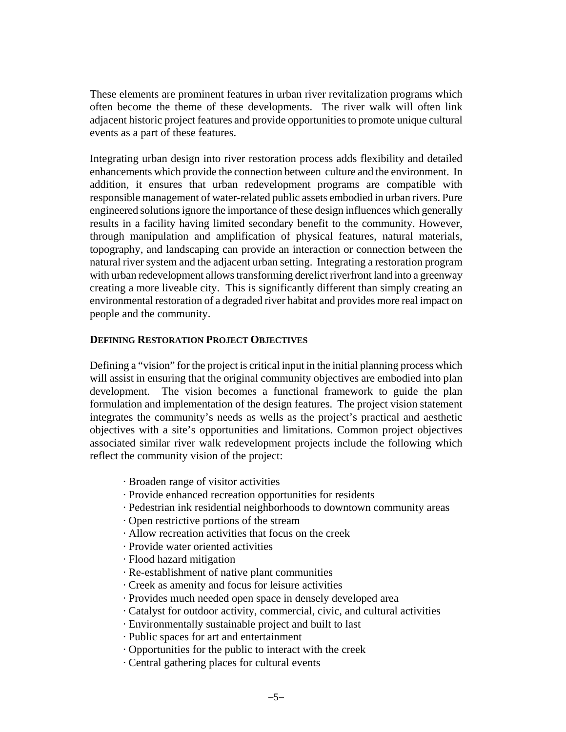These elements are prominent features in urban river revitalization programs which often become the theme of these developments. The river walk will often link adjacent historic project features and provide opportunities to promote unique cultural events as a part of these features.

Integrating urban design into river restoration process adds flexibility and detailed enhancements which provide the connection between culture and the environment. In addition, it ensures that urban redevelopment programs are compatible with responsible management of water-related public assets embodied in urban rivers. Pure engineered solutions ignore the importance of these design influences which generally results in a facility having limited secondary benefit to the community. However, through manipulation and amplification of physical features, natural materials, topography, and landscaping can provide an interaction or connection between the natural river system and the adjacent urban setting. Integrating a restoration program with urban redevelopment allows transforming derelict riverfront land into a greenway creating a more liveable city. This is significantly different than simply creating an environmental restoration of a degraded river habitat and provides more real impact on people and the community.

### **DEFINING RESTORATION PROJECT OBJECTIVES**

Defining a "vision" for the project is critical input in the initial planning process which will assist in ensuring that the original community objectives are embodied into plan development. The vision becomes a functional framework to guide the plan formulation and implementation of the design features. The project vision statement integrates the community's needs as wells as the project's practical and aesthetic objectives with a site's opportunities and limitations. Common project objectives associated similar river walk redevelopment projects include the following which reflect the community vision of the project:

- · Broaden range of visitor activities
- · Provide enhanced recreation opportunities for residents
- · Pedestrian ink residential neighborhoods to downtown community areas
- · Open restrictive portions of the stream
- · Allow recreation activities that focus on the creek
- · Provide water oriented activities
- · Flood hazard mitigation
- · Re-establishment of native plant communities
- · Creek as amenity and focus for leisure activities
- · Provides much needed open space in densely developed area
- · Catalyst for outdoor activity, commercial, civic, and cultural activities
- · Environmentally sustainable project and built to last
- · Public spaces for art and entertainment
- · Opportunities for the public to interact with the creek
- · Central gathering places for cultural events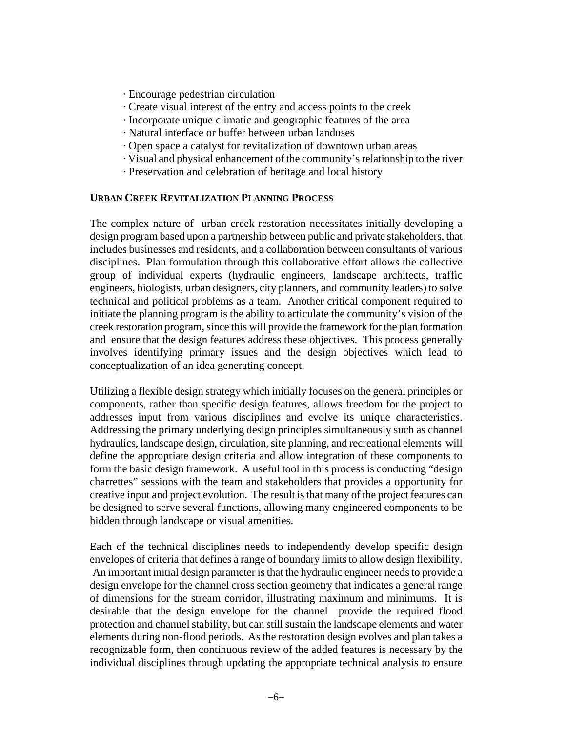- · Encourage pedestrian circulation
- · Create visual interest of the entry and access points to the creek
- · Incorporate unique climatic and geographic features of the area
- · Natural interface or buffer between urban landuses
- · Open space a catalyst for revitalization of downtown urban areas
- · Visual and physical enhancement of the community's relationship to the river
- · Preservation and celebration of heritage and local history

## **URBAN CREEK REVITALIZATION PLANNING PROCESS**

The complex nature of urban creek restoration necessitates initially developing a design program based upon a partnership between public and private stakeholders, that includes businesses and residents, and a collaboration between consultants of various disciplines. Plan formulation through this collaborative effort allows the collective group of individual experts (hydraulic engineers, landscape architects, traffic engineers, biologists, urban designers, city planners, and community leaders) to solve technical and political problems as a team. Another critical component required to initiate the planning program is the ability to articulate the community's vision of the creek restoration program, since this will provide the framework for the plan formation and ensure that the design features address these objectives. This process generally involves identifying primary issues and the design objectives which lead to conceptualization of an idea generating concept.

Utilizing a flexible design strategy which initially focuses on the general principles or components, rather than specific design features, allows freedom for the project to addresses input from various disciplines and evolve its unique characteristics. Addressing the primary underlying design principles simultaneously such as channel hydraulics, landscape design, circulation, site planning, and recreational elements will define the appropriate design criteria and allow integration of these components to form the basic design framework. A useful tool in this process is conducting "design charrettes" sessions with the team and stakeholders that provides a opportunity for creative input and project evolution. The result is that many of the project features can be designed to serve several functions, allowing many engineered components to be hidden through landscape or visual amenities.

Each of the technical disciplines needs to independently develop specific design envelopes of criteria that defines a range of boundary limits to allow design flexibility. An important initial design parameter is that the hydraulic engineer needs to provide a design envelope for the channel cross section geometry that indicates a general range of dimensions for the stream corridor, illustrating maximum and minimums. It is desirable that the design envelope for the channel provide the required flood protection and channel stability, but can still sustain the landscape elements and water elements during non-flood periods. As the restoration design evolves and plan takes a recognizable form, then continuous review of the added features is necessary by the individual disciplines through updating the appropriate technical analysis to ensure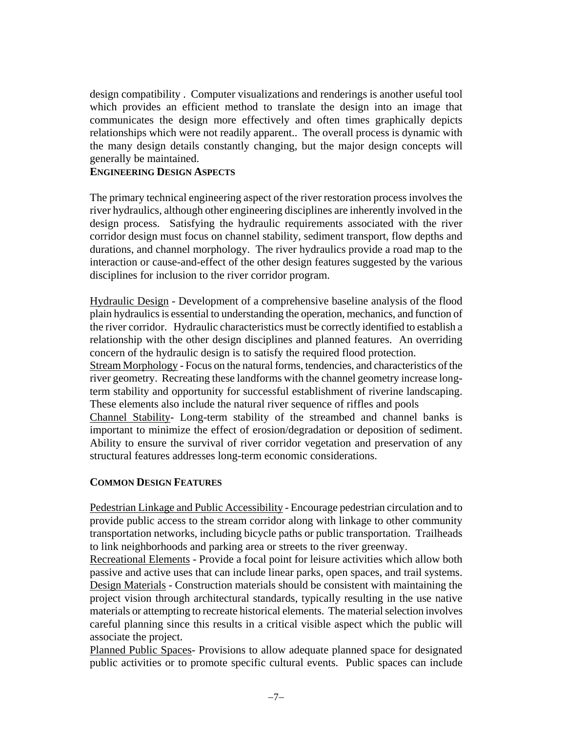design compatibility . Computer visualizations and renderings is another useful tool which provides an efficient method to translate the design into an image that communicates the design more effectively and often times graphically depicts relationships which were not readily apparent.. The overall process is dynamic with the many design details constantly changing, but the major design concepts will generally be maintained.

# **ENGINEERING DESIGN ASPECTS**

The primary technical engineering aspect of the river restoration process involves the river hydraulics, although other engineering disciplines are inherently involved in the design process. Satisfying the hydraulic requirements associated with the river corridor design must focus on channel stability, sediment transport, flow depths and durations, and channel morphology. The river hydraulics provide a road map to the interaction or cause-and-effect of the other design features suggested by the various disciplines for inclusion to the river corridor program.

Hydraulic Design - Development of a comprehensive baseline analysis of the flood plain hydraulics is essential to understanding the operation, mechanics, and function of the river corridor. Hydraulic characteristics must be correctly identified to establish a relationship with the other design disciplines and planned features. An overriding concern of the hydraulic design is to satisfy the required flood protection.

Stream Morphology - Focus on the natural forms, tendencies, and characteristics of the river geometry. Recreating these landforms with the channel geometry increase longterm stability and opportunity for successful establishment of riverine landscaping. These elements also include the natural river sequence of riffles and pools

Channel Stability- Long-term stability of the streambed and channel banks is important to minimize the effect of erosion/degradation or deposition of sediment. Ability to ensure the survival of river corridor vegetation and preservation of any structural features addresses long-term economic considerations.

## **COMMON DESIGN FEATURES**

Pedestrian Linkage and Public Accessibility - Encourage pedestrian circulation and to provide public access to the stream corridor along with linkage to other community transportation networks, including bicycle paths or public transportation. Trailheads to link neighborhoods and parking area or streets to the river greenway.

Recreational Elements - Provide a focal point for leisure activities which allow both passive and active uses that can include linear parks, open spaces, and trail systems. Design Materials - Construction materials should be consistent with maintaining the project vision through architectural standards, typically resulting in the use native materials or attempting to recreate historical elements. The material selection involves careful planning since this results in a critical visible aspect which the public will associate the project.

Planned Public Spaces- Provisions to allow adequate planned space for designated public activities or to promote specific cultural events. Public spaces can include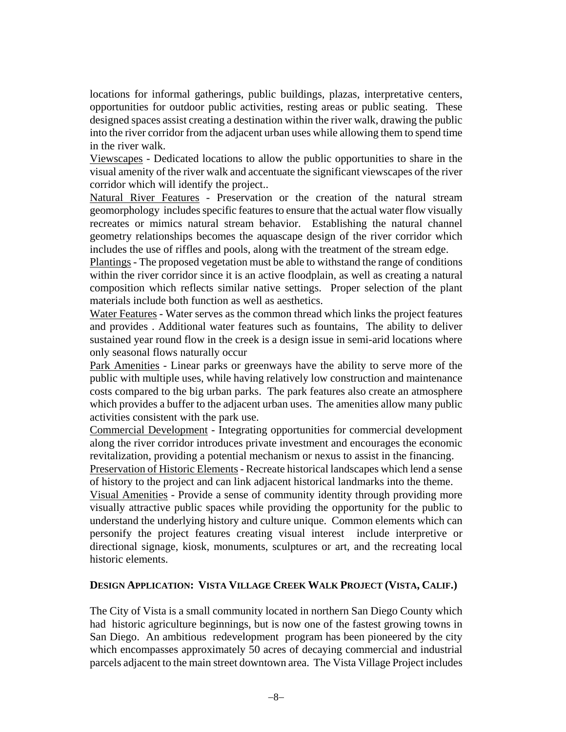locations for informal gatherings, public buildings, plazas, interpretative centers, opportunities for outdoor public activities, resting areas or public seating. These designed spaces assist creating a destination within the river walk, drawing the public into the river corridor from the adjacent urban uses while allowing them to spend time in the river walk.

Viewscapes - Dedicated locations to allow the public opportunities to share in the visual amenity of the river walk and accentuate the significant viewscapes of the river corridor which will identify the project..

Natural River Features - Preservation or the creation of the natural stream geomorphology includes specific features to ensure that the actual water flow visually recreates or mimics natural stream behavior. Establishing the natural channel geometry relationships becomes the aquascape design of the river corridor which includes the use of riffles and pools, along with the treatment of the stream edge.

Plantings - The proposed vegetation must be able to withstand the range of conditions within the river corridor since it is an active floodplain, as well as creating a natural composition which reflects similar native settings. Proper selection of the plant materials include both function as well as aesthetics.

Water Features - Water serves as the common thread which links the project features and provides . Additional water features such as fountains, The ability to deliver sustained year round flow in the creek is a design issue in semi-arid locations where only seasonal flows naturally occur

Park Amenities - Linear parks or greenways have the ability to serve more of the public with multiple uses, while having relatively low construction and maintenance costs compared to the big urban parks. The park features also create an atmosphere which provides a buffer to the adjacent urban uses. The amenities allow many public activities consistent with the park use.

Commercial Development - Integrating opportunities for commercial development along the river corridor introduces private investment and encourages the economic revitalization, providing a potential mechanism or nexus to assist in the financing.

Preservation of Historic Elements - Recreate historical landscapes which lend a sense of history to the project and can link adjacent historical landmarks into the theme.

Visual Amenities - Provide a sense of community identity through providing more visually attractive public spaces while providing the opportunity for the public to understand the underlying history and culture unique. Common elements which can personify the project features creating visual interest include interpretive or directional signage, kiosk, monuments, sculptures or art, and the recreating local historic elements.

### **DESIGN APPLICATION: VISTA VILLAGE CREEK WALK PROJECT (VISTA, CALIF.)**

The City of Vista is a small community located in northern San Diego County which had historic agriculture beginnings, but is now one of the fastest growing towns in San Diego. An ambitious redevelopment program has been pioneered by the city which encompasses approximately 50 acres of decaying commercial and industrial parcels adjacent to the main street downtown area. The Vista Village Project includes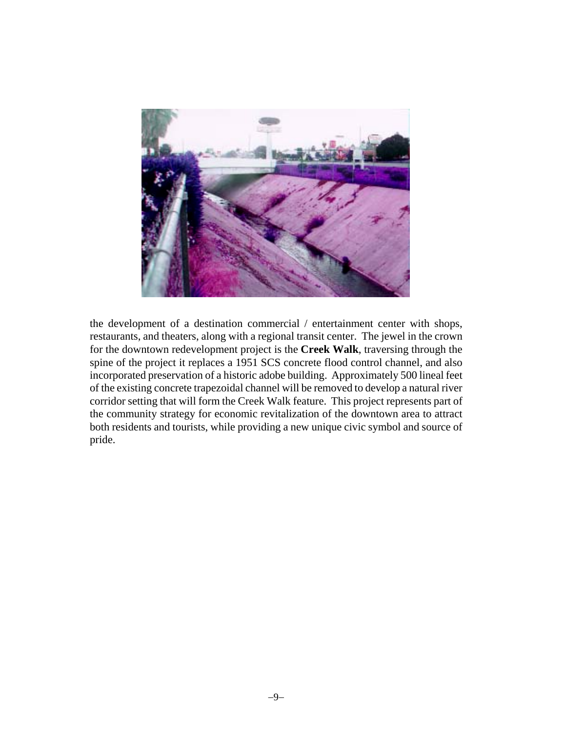

the development of a destination commercial / entertainment center with shops, restaurants, and theaters, along with a regional transit center. The jewel in the crown for the downtown redevelopment project is the **Creek Walk**, traversing through the spine of the project it replaces a 1951 SCS concrete flood control channel, and also incorporated preservation of a historic adobe building. Approximately 500 lineal feet of the existing concrete trapezoidal channel will be removed to develop a natural river corridor setting that will form the Creek Walk feature. This project represents part of the community strategy for economic revitalization of the downtown area to attract both residents and tourists, while providing a new unique civic symbol and source of pride.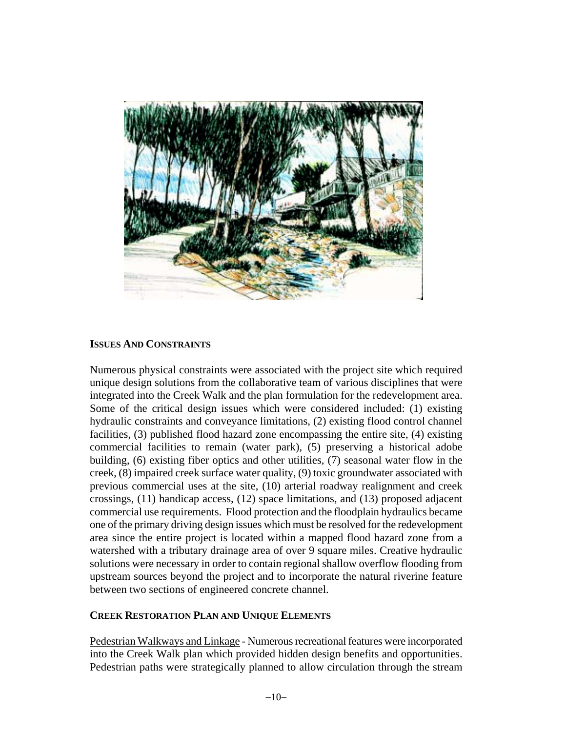

# **ISSUES AND CONSTRAINTS**

Numerous physical constraints were associated with the project site which required unique design solutions from the collaborative team of various disciplines that were integrated into the Creek Walk and the plan formulation for the redevelopment area. Some of the critical design issues which were considered included: (1) existing hydraulic constraints and conveyance limitations, (2) existing flood control channel facilities, (3) published flood hazard zone encompassing the entire site, (4) existing commercial facilities to remain (water park), (5) preserving a historical adobe building, (6) existing fiber optics and other utilities, (7) seasonal water flow in the creek, (8) impaired creek surface water quality, (9) toxic groundwater associated with previous commercial uses at the site, (10) arterial roadway realignment and creek crossings, (11) handicap access, (12) space limitations, and (13) proposed adjacent commercial use requirements. Flood protection and the floodplain hydraulics became one of the primary driving design issues which must be resolved for the redevelopment area since the entire project is located within a mapped flood hazard zone from a watershed with a tributary drainage area of over 9 square miles. Creative hydraulic solutions were necessary in order to contain regional shallow overflow flooding from upstream sources beyond the project and to incorporate the natural riverine feature between two sections of engineered concrete channel.

## **CREEK RESTORATION PLAN AND UNIQUE ELEMENTS**

Pedestrian Walkways and Linkage - Numerous recreational features were incorporated into the Creek Walk plan which provided hidden design benefits and opportunities. Pedestrian paths were strategically planned to allow circulation through the stream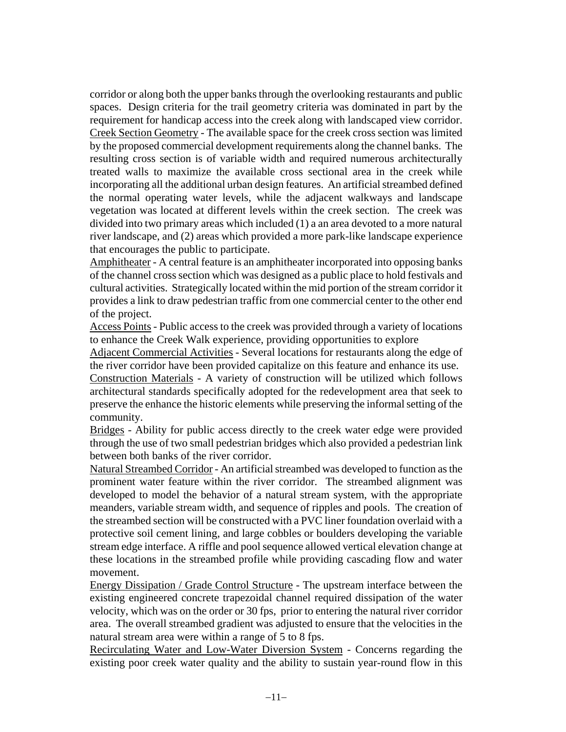corridor or along both the upper banks through the overlooking restaurants and public spaces. Design criteria for the trail geometry criteria was dominated in part by the requirement for handicap access into the creek along with landscaped view corridor. Creek Section Geometry - The available space for the creek cross section was limited by the proposed commercial development requirements along the channel banks. The resulting cross section is of variable width and required numerous architecturally treated walls to maximize the available cross sectional area in the creek while incorporating all the additional urban design features. An artificial streambed defined the normal operating water levels, while the adjacent walkways and landscape vegetation was located at different levels within the creek section. The creek was divided into two primary areas which included (1) a an area devoted to a more natural river landscape, and (2) areas which provided a more park-like landscape experience that encourages the public to participate.

Amphitheater - A central feature is an amphitheater incorporated into opposing banks of the channel cross section which was designed as a public place to hold festivals and cultural activities. Strategically located within the mid portion of the stream corridor it provides a link to draw pedestrian traffic from one commercial center to the other end of the project.

Access Points - Public access to the creek was provided through a variety of locations to enhance the Creek Walk experience, providing opportunities to explore

Adjacent Commercial Activities - Several locations for restaurants along the edge of the river corridor have been provided capitalize on this feature and enhance its use.

Construction Materials - A variety of construction will be utilized which follows architectural standards specifically adopted for the redevelopment area that seek to preserve the enhance the historic elements while preserving the informal setting of the community.

Bridges - Ability for public access directly to the creek water edge were provided through the use of two small pedestrian bridges which also provided a pedestrian link between both banks of the river corridor.

Natural Streambed Corridor - An artificial streambed was developed to function as the prominent water feature within the river corridor. The streambed alignment was developed to model the behavior of a natural stream system, with the appropriate meanders, variable stream width, and sequence of ripples and pools. The creation of the streambed section will be constructed with a PVC liner foundation overlaid with a protective soil cement lining, and large cobbles or boulders developing the variable stream edge interface. A riffle and pool sequence allowed vertical elevation change at these locations in the streambed profile while providing cascading flow and water movement.

Energy Dissipation / Grade Control Structure - The upstream interface between the existing engineered concrete trapezoidal channel required dissipation of the water velocity, which was on the order or 30 fps, prior to entering the natural river corridor area. The overall streambed gradient was adjusted to ensure that the velocities in the natural stream area were within a range of 5 to 8 fps.

Recirculating Water and Low-Water Diversion System - Concerns regarding the existing poor creek water quality and the ability to sustain year-round flow in this